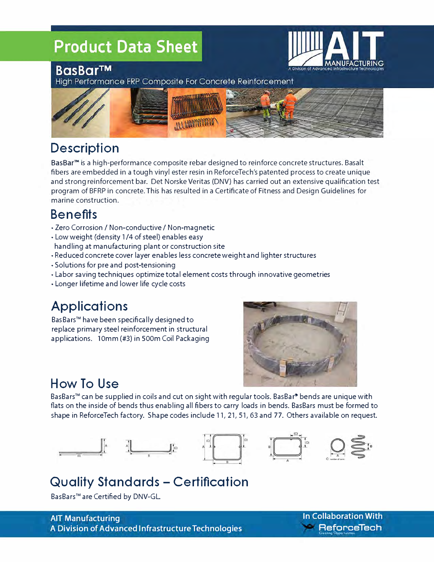# **Product Data Sheet**

#### **BasBar™**

High Performance FRP Composite For Concrete Reinforcement



## **Description**

**Bas Bar™** is a high-performance composite rebar designed to reinforce concrete structures. Basalt fibers are embedded in a tough vinyl ester resin in ReforceTech's patented process to create unique and strongreinforcement bar. Det Norske Veritas (DNV) has carried out an extensive qualification test program of BFRP in concrete. This has resulted in a Certificate of Fitness and Design Guidelines for marine construction.

## **Benefits**

- Zero Corrosion/ Non-conductive/ Non-magnetic
- Low weight (density 1 /4 of steel) enables easy
- handling at manufacturing plant or construction site
- Reduced concrete cover layer enables less concrete weight and lighter structures
- Solutions for pre and post-tensioning
- •Labor saving techniques optimize total element costs through innovative geometries
- Longer lifetime and lower life cycle costs

## **Applications**

Bas Bars™ have been specifically designed to replace primary steel reinforcement in structural applications. 10mm (#3) in 500m Coil Packaging



### How To Use

BasBars™ can be supplied in coils and cut on sight with regular tools. BasBar® bends are unique with flats on the inside of bends thus enabling all fibers to carry loads in bends. BasBars must be formed to shape in ReforceTech factory. Shape codes include 11, 21, 51, 63 and 77. Others available on request.







# **Quality Standards - Certification**

BasBars™ are Certified by DNV-GL

Creating Opper tunities